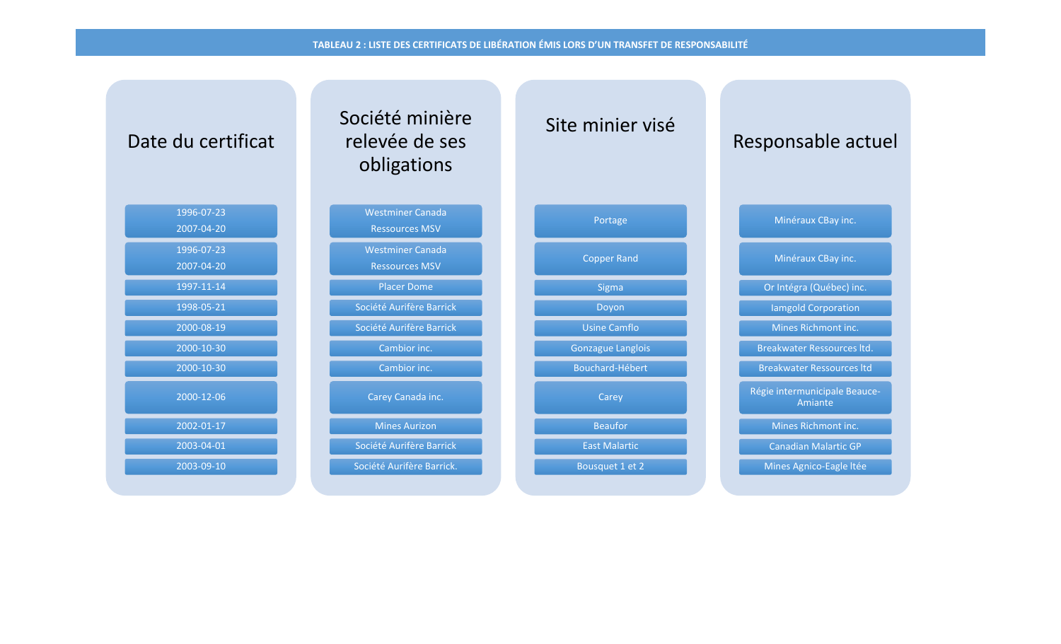## **TABLEAU 2 : LISTE DES CERTIFICATS DE LIBÉRATION ÉMIS LORS D'UN TRANSFET DE RESPONSABILITÉ**

| Date du certificat       | Société minière<br>relevée de ses<br>obligations | Site minier visé         | Responsable actuel                       |
|--------------------------|--------------------------------------------------|--------------------------|------------------------------------------|
| 1996-07-23<br>2007-04-20 | <b>Westminer Canada</b><br><b>Ressources MSV</b> | Portage                  | Minéraux CBay inc.                       |
| 1996-07-23<br>2007-04-20 | <b>Westminer Canada</b><br><b>Ressources MSV</b> | <b>Copper Rand</b>       | Minéraux CBay inc.                       |
| 1997-11-14               | <b>Placer Dome</b>                               | Sigma                    | Or Intégra (Québec) inc.                 |
| 1998-05-21               | Société Aurifère Barrick                         | Doyon                    | lamgold Corporation                      |
| 2000-08-19               | Société Aurifère Barrick                         | <b>Usine Camflo</b>      | Mines Richmont inc.                      |
| 2000-10-30               | Cambior inc.                                     | <b>Gonzague Langlois</b> | Breakwater Ressources Itd.               |
| 2000-10-30               | Cambior inc.                                     | Bouchard-Hébert          | <b>Breakwater Ressources Itd</b>         |
| 2000-12-06               | Carey Canada inc.                                | Carey                    | Régie intermunicipale Beauce-<br>Amiante |
| 2002-01-17               | <b>Mines Aurizon</b>                             | <b>Beaufor</b>           | Mines Richmont inc.                      |
| 2003-04-01               | Société Aurifère Barrick                         | <b>East Malartic</b>     | <b>Canadian Malartic GP</b>              |
| 2003-09-10               | Société Aurifère Barrick.                        | Bousquet 1 et 2          | Mines Agnico-Eagle Itée                  |